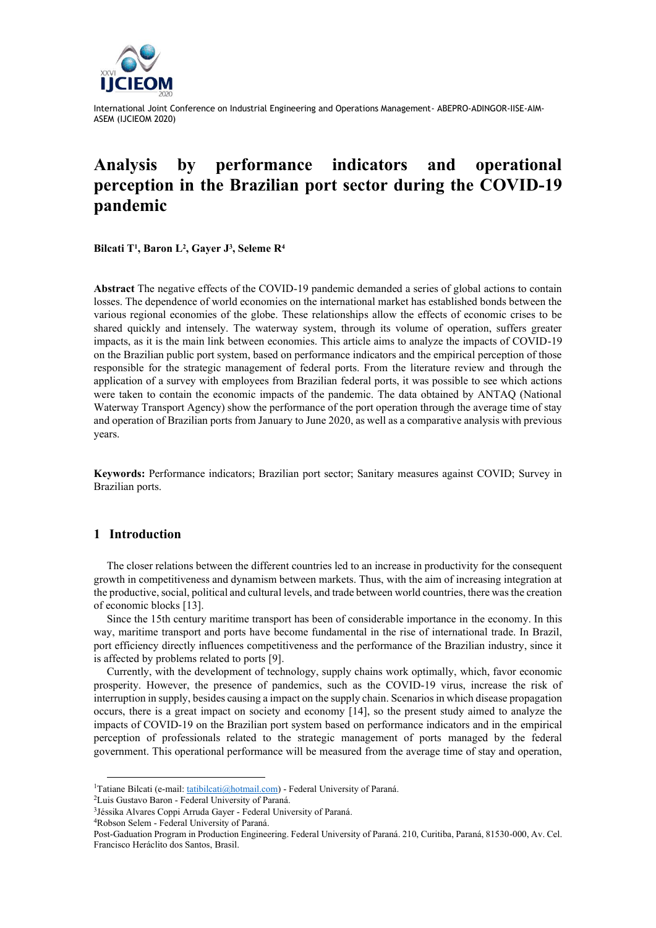

# **Analysis by performance indicators and operational perception in the Brazilian port sector during the COVID-19 pandemic**

**Bilcati T<sup>1</sup> , Baron L<sup>2</sup> , Gayer J<sup>3</sup> , Seleme R<sup>4</sup>**

**Abstract** The negative effects of the COVID-19 pandemic demanded a series of global actions to contain losses. The dependence of world economies on the international market has established bonds between the various regional economies of the globe. These relationships allow the effects of economic crises to be shared quickly and intensely. The waterway system, through its volume of operation, suffers greater impacts, as it is the main link between economies. This article aims to analyze the impacts of COVID-19 on the Brazilian public port system, based on performance indicators and the empirical perception of those responsible for the strategic management of federal ports. From the literature review and through the application of a survey with employees from Brazilian federal ports, it was possible to see which actions were taken to contain the economic impacts of the pandemic. The data obtained by ANTAQ (National Waterway Transport Agency) show the performance of the port operation through the average time of stay and operation of Brazilian ports from January to June 2020, as well as a comparative analysis with previous years.

**Keywords:** Performance indicators; Brazilian port sector; Sanitary measures against COVID; Survey in Brazilian ports.

# **1 Introduction**

The closer relations between the different countries led to an increase in productivity for the consequent growth in competitiveness and dynamism between markets. Thus, with the aim of increasing integration at the productive, social, political and cultural levels, and trade between world countries, there was the creation of economic blocks [13].

Since the 15th century maritime transport has been of considerable importance in the economy. In this way, maritime transport and ports have become fundamental in the rise of international trade. In Brazil, port efficiency directly influences competitiveness and the performance of the Brazilian industry, since it is affected by problems related to ports [9].

Currently, with the development of technology, supply chains work optimally, which, favor economic prosperity. However, the presence of pandemics, such as the COVID-19 virus, increase the risk of interruption in supply, besides causing a impact on the supply chain. Scenarios in which disease propagation occurs, there is a great impact on society and economy [14], so the present study aimed to analyze the impacts of COVID-19 on the Brazilian port system based on performance indicators and in the empirical perception of professionals related to the strategic management of ports managed by the federal government. This operational performance will be measured from the average time of stay and operation,

<sup>4</sup>Robson Selem - Federal University of Paraná.

<sup>&</sup>lt;sup>1</sup>Tatiane Bilcati (e-mail[: tatibilcati@hotmail.com\)](mailto:tatibilcati@hotmail.com) - Federal University of Paraná.

<sup>2</sup>Luis Gustavo Baron - Federal University of Paraná.

<sup>&</sup>lt;sup>3</sup>Jéssika Alvares Coppi Arruda Gayer - Federal University of Paraná.

Post-Gaduation Program in Production Engineering. Federal University of Paraná. 210, Curitiba, Paraná, 81530-000, Av. Cel. Francisco Heráclito dos Santos, Brasil.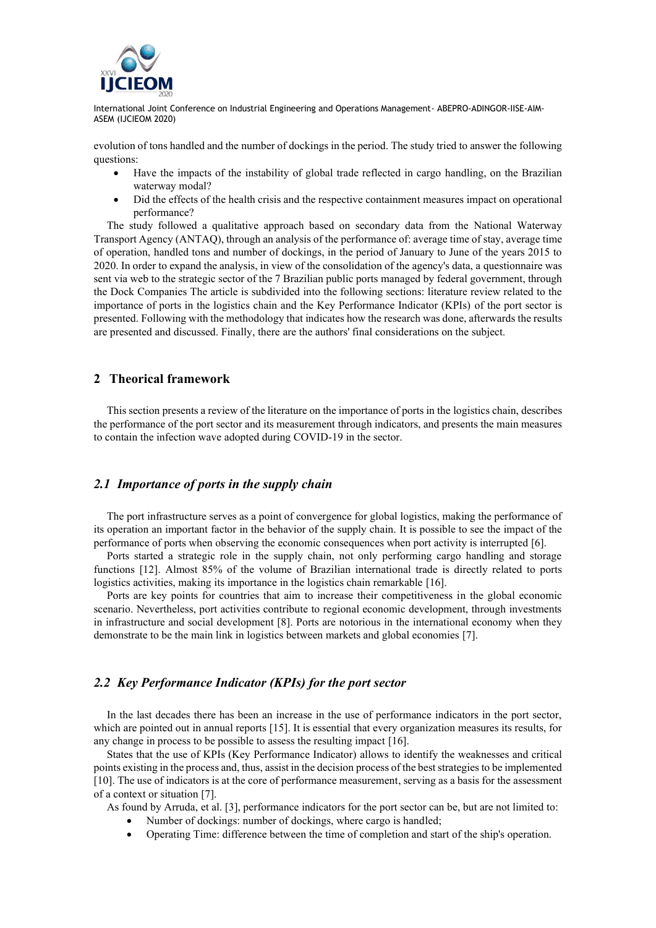

evolution of tons handled and the number of dockings in the period. The study tried to answer the following questions:

- Have the impacts of the instability of global trade reflected in cargo handling, on the Brazilian waterway modal?
- Did the effects of the health crisis and the respective containment measures impact on operational performance?

The study followed a qualitative approach based on secondary data from the National Waterway Transport Agency (ANTAQ), through an analysis of the performance of: average time of stay, average time of operation, handled tons and number of dockings, in the period of January to June of the years 2015 to 2020. In order to expand the analysis, in view of the consolidation of the agency's data, a questionnaire was sent via web to the strategic sector of the 7 Brazilian public ports managed by federal government, through the Dock Companies The article is subdivided into the following sections: literature review related to the importance of ports in the logistics chain and the Key Performance Indicator (KPIs) of the port sector is presented. Following with the methodology that indicates how the research was done, afterwards the results are presented and discussed. Finally, there are the authors' final considerations on the subject.

# **2 Theorical framework**

This section presents a review of the literature on the importance of ports in the logistics chain, describes the performance of the port sector and its measurement through indicators, and presents the main measures to contain the infection wave adopted during COVID-19 in the sector.

# *2.1 Importance of ports in the supply chain*

The port infrastructure serves as a point of convergence for global logistics, making the performance of its operation an important factor in the behavior of the supply chain. It is possible to see the impact of the performance of ports when observing the economic consequences when port activity is interrupted [6].

Ports started a strategic role in the supply chain, not only performing cargo handling and storage functions [12]. Almost 85% of the volume of Brazilian international trade is directly related to ports logistics activities, making its importance in the logistics chain remarkable [16].

Ports are key points for countries that aim to increase their competitiveness in the global economic scenario. Nevertheless, port activities contribute to regional economic development, through investments in infrastructure and social development [8]. Ports are notorious in the international economy when they demonstrate to be the main link in logistics between markets and global economies [7].

# *2.2 Key Performance Indicator (KPIs) for the port sector*

In the last decades there has been an increase in the use of performance indicators in the port sector, which are pointed out in annual reports [15]. It is essential that every organization measures its results, for any change in process to be possible to assess the resulting impact [16].

States that the use of KPIs (Key Performance Indicator) allows to identify the weaknesses and critical points existing in the process and, thus, assist in the decision process of the best strategies to be implemented [10]. The use of indicators is at the core of performance measurement, serving as a basis for the assessment of a context or situation [7].

As found by Arruda, et al. [3], performance indicators for the port sector can be, but are not limited to:

- Number of dockings: number of dockings, where cargo is handled;
- Operating Time: difference between the time of completion and start of the ship's operation.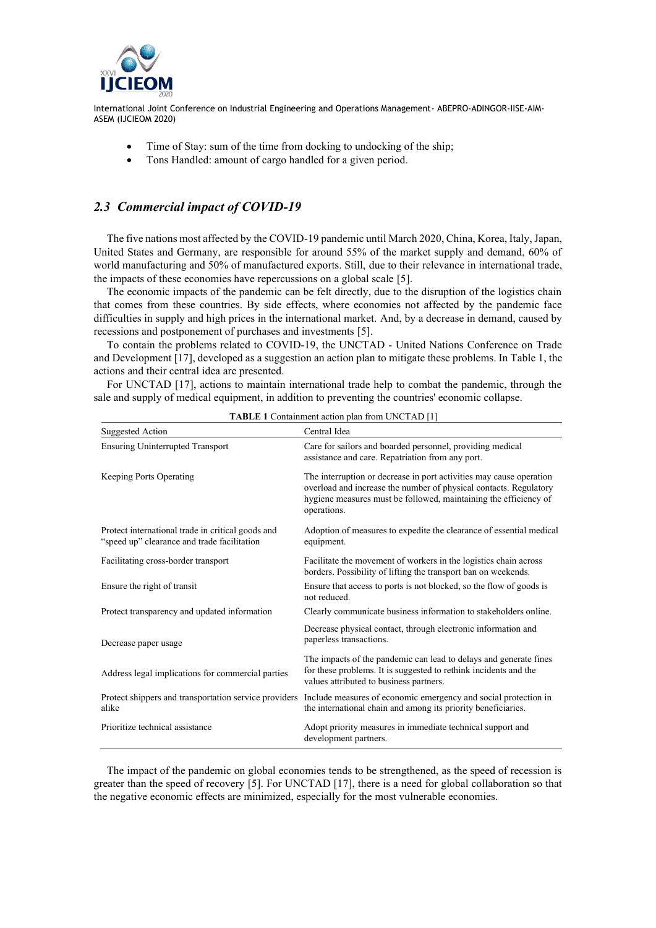

- Time of Stay: sum of the time from docking to undocking of the ship;
- Tons Handled: amount of cargo handled for a given period.

# *2.3 Commercial impact of COVID-19*

The five nations most affected by the COVID-19 pandemic until March 2020, China, Korea, Italy, Japan, United States and Germany, are responsible for around 55% of the market supply and demand, 60% of world manufacturing and 50% of manufactured exports. Still, due to their relevance in international trade, the impacts of these economies have repercussions on a global scale [5].

The economic impacts of the pandemic can be felt directly, due to the disruption of the logistics chain that comes from these countries. By side effects, where economies not affected by the pandemic face difficulties in supply and high prices in the international market. And, by a decrease in demand, caused by recessions and postponement of purchases and investments [5].

To contain the problems related to COVID-19, the UNCTAD - United Nations Conference on Trade and Development [17], developed as a suggestion an action plan to mitigate these problems. In Table 1, the actions and their central idea are presented.

For UNCTAD [17], actions to maintain international trade help to combat the pandemic, through the sale and supply of medical equipment, in addition to preventing the countries' economic collapse.

| <b>Suggested Action</b>                                                                          | Central Idea                                                                                                                                                                                                                |
|--------------------------------------------------------------------------------------------------|-----------------------------------------------------------------------------------------------------------------------------------------------------------------------------------------------------------------------------|
| <b>Ensuring Uninterrupted Transport</b>                                                          | Care for sailors and boarded personnel, providing medical<br>assistance and care. Repatriation from any port.                                                                                                               |
| Keeping Ports Operating                                                                          | The interruption or decrease in port activities may cause operation<br>overload and increase the number of physical contacts. Regulatory<br>hygiene measures must be followed, maintaining the efficiency of<br>operations. |
| Protect international trade in critical goods and<br>"speed up" clearance and trade facilitation | Adoption of measures to expedite the clearance of essential medical<br>equipment.                                                                                                                                           |
| Facilitating cross-border transport                                                              | Facilitate the movement of workers in the logistics chain across<br>borders. Possibility of lifting the transport ban on weekends.                                                                                          |
| Ensure the right of transit                                                                      | Ensure that access to ports is not blocked, so the flow of goods is<br>not reduced.                                                                                                                                         |
| Protect transparency and updated information                                                     | Clearly communicate business information to stakeholders online.                                                                                                                                                            |
| Decrease paper usage                                                                             | Decrease physical contact, through electronic information and<br>paperless transactions.                                                                                                                                    |
| Address legal implications for commercial parties                                                | The impacts of the pandemic can lead to delays and generate fines<br>for these problems. It is suggested to rethink incidents and the<br>values attributed to business partners.                                            |
| Protect shippers and transportation service providers<br>alike                                   | Include measures of economic emergency and social protection in<br>the international chain and among its priority beneficiaries.                                                                                            |
| Prioritize technical assistance                                                                  | Adopt priority measures in immediate technical support and<br>development partners.                                                                                                                                         |

**TABLE 1** Containment action plan from UNCTAD [1]

The impact of the pandemic on global economies tends to be strengthened, as the speed of recession is greater than the speed of recovery [5]. For UNCTAD [17], there is a need for global collaboration so that the negative economic effects are minimized, especially for the most vulnerable economies.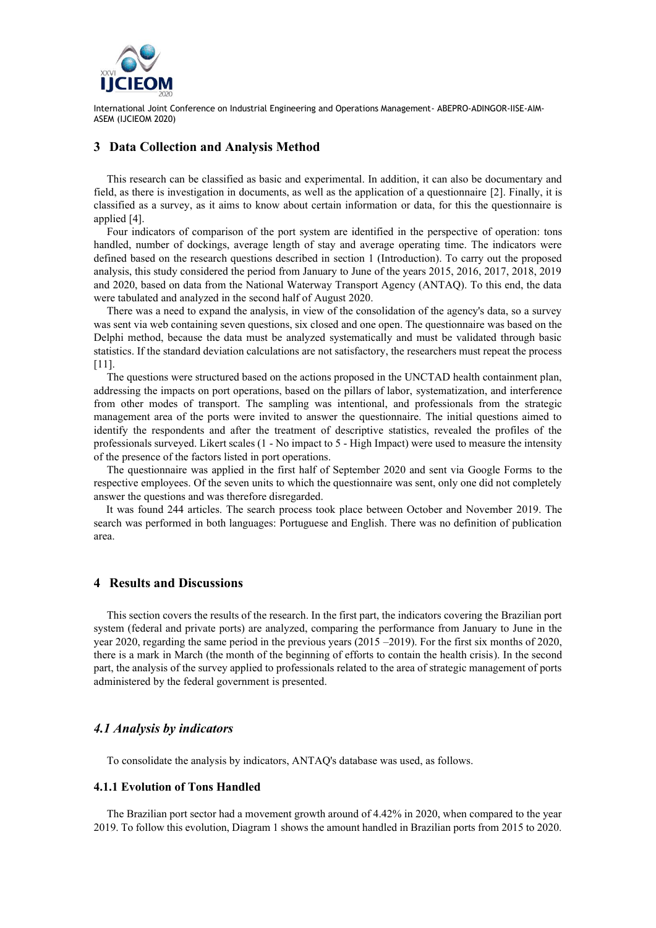

### **3 Data Collection and Analysis Method**

This research can be classified as basic and experimental. In addition, it can also be documentary and field, as there is investigation in documents, as well as the application of a questionnaire [2]. Finally, it is classified as a survey, as it aims to know about certain information or data, for this the questionnaire is applied [4].

Four indicators of comparison of the port system are identified in the perspective of operation: tons handled, number of dockings, average length of stay and average operating time. The indicators were defined based on the research questions described in section 1 (Introduction). To carry out the proposed analysis, this study considered the period from January to June of the years 2015, 2016, 2017, 2018, 2019 and 2020, based on data from the National Waterway Transport Agency (ANTAQ). To this end, the data were tabulated and analyzed in the second half of August 2020.

There was a need to expand the analysis, in view of the consolidation of the agency's data, so a survey was sent via web containing seven questions, six closed and one open. The questionnaire was based on the Delphi method, because the data must be analyzed systematically and must be validated through basic statistics. If the standard deviation calculations are not satisfactory, the researchers must repeat the process [11].

The questions were structured based on the actions proposed in the UNCTAD health containment plan, addressing the impacts on port operations, based on the pillars of labor, systematization, and interference from other modes of transport. The sampling was intentional, and professionals from the strategic management area of the ports were invited to answer the questionnaire. The initial questions aimed to identify the respondents and after the treatment of descriptive statistics, revealed the profiles of the professionals surveyed. Likert scales (1 - No impact to 5 - High Impact) were used to measure the intensity of the presence of the factors listed in port operations.

The questionnaire was applied in the first half of September 2020 and sent via Google Forms to the respective employees. Of the seven units to which the questionnaire was sent, only one did not completely answer the questions and was therefore disregarded.

It was found 244 articles. The search process took place between October and November 2019. The search was performed in both languages: Portuguese and English. There was no definition of publication area.

### **4 Results and Discussions**

This section covers the results of the research. In the first part, the indicators covering the Brazilian port system (federal and private ports) are analyzed, comparing the performance from January to June in the year 2020, regarding the same period in the previous years (2015 –2019). For the first six months of 2020, there is a mark in March (the month of the beginning of efforts to contain the health crisis). In the second part, the analysis of the survey applied to professionals related to the area of strategic management of ports administered by the federal government is presented.

### *4.1 Analysis by indicators*

To consolidate the analysis by indicators, ANTAQ's database was used, as follows.

#### **4.1.1 Evolution of Tons Handled**

The Brazilian port sector had a movement growth around of 4.42% in 2020, when compared to the year 2019. To follow this evolution, Diagram 1 shows the amount handled in Brazilian ports from 2015 to 2020.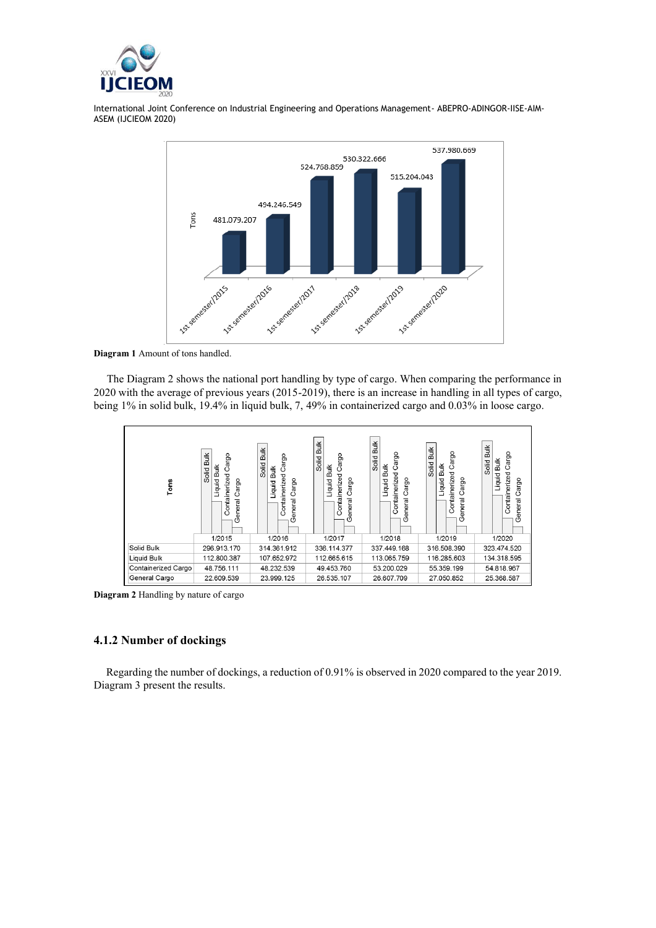



**Diagram 1** Amount of tons handled.

The Diagram 2 shows the national port handling by type of cargo. When comparing the performance in 2020 with the average of previous years (2015-2019), there is an increase in handling in all types of cargo, being 1% in solid bulk, 19.4% in liquid bulk, 7, 49% in containerized cargo and 0.03% in loose cargo.



**Diagram 2** Handling by nature of cargo

### **4.1.2 Number of dockings**

Regarding the number of dockings, a reduction of 0.91% is observed in 2020 compared to the year 2019. Diagram 3 present the results.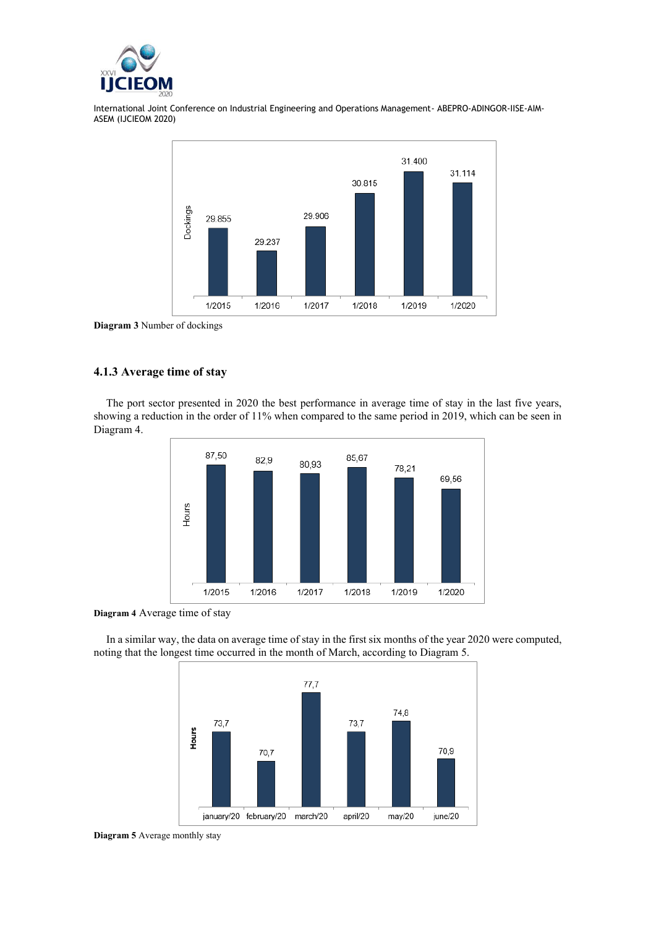



**Diagram 3** Number of dockings

# **4.1.3 Average time of stay**

The port sector presented in 2020 the best performance in average time of stay in the last five years, showing a reduction in the order of 11% when compared to the same period in 2019, which can be seen in Diagram 4.



**Diagram 4** Average time of stay

In a similar way, the data on average time of stay in the first six months of the year 2020 were computed, noting that the longest time occurred in the month of March, according to Diagram 5.



**Diagram 5** Average monthly stay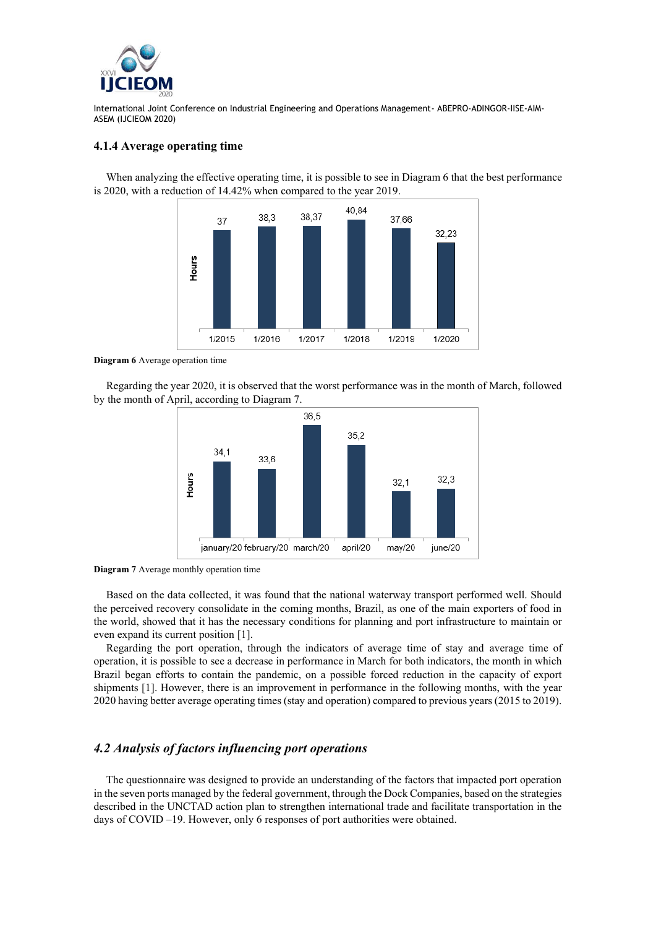

### **4.1.4 Average operating time**

When analyzing the effective operating time, it is possible to see in Diagram 6 that the best performance is 2020, with a reduction of 14.42% when compared to the year 2019.



**Diagram 6** Average operation time

Regarding the year 2020, it is observed that the worst performance was in the month of March, followed by the month of April, according to Diagram 7.



**Diagram 7** Average monthly operation time

Based on the data collected, it was found that the national waterway transport performed well. Should the perceived recovery consolidate in the coming months, Brazil, as one of the main exporters of food in the world, showed that it has the necessary conditions for planning and port infrastructure to maintain or even expand its current position [1].

Regarding the port operation, through the indicators of average time of stay and average time of operation, it is possible to see a decrease in performance in March for both indicators, the month in which Brazil began efforts to contain the pandemic, on a possible forced reduction in the capacity of export shipments [1]. However, there is an improvement in performance in the following months, with the year 2020 having better average operating times (stay and operation) compared to previous years (2015 to 2019).

# *4.2 Analysis of factors influencing port operations*

The questionnaire was designed to provide an understanding of the factors that impacted port operation in the seven ports managed by the federal government, through the Dock Companies, based on the strategies described in the UNCTAD action plan to strengthen international trade and facilitate transportation in the days of COVID –19. However, only 6 responses of port authorities were obtained.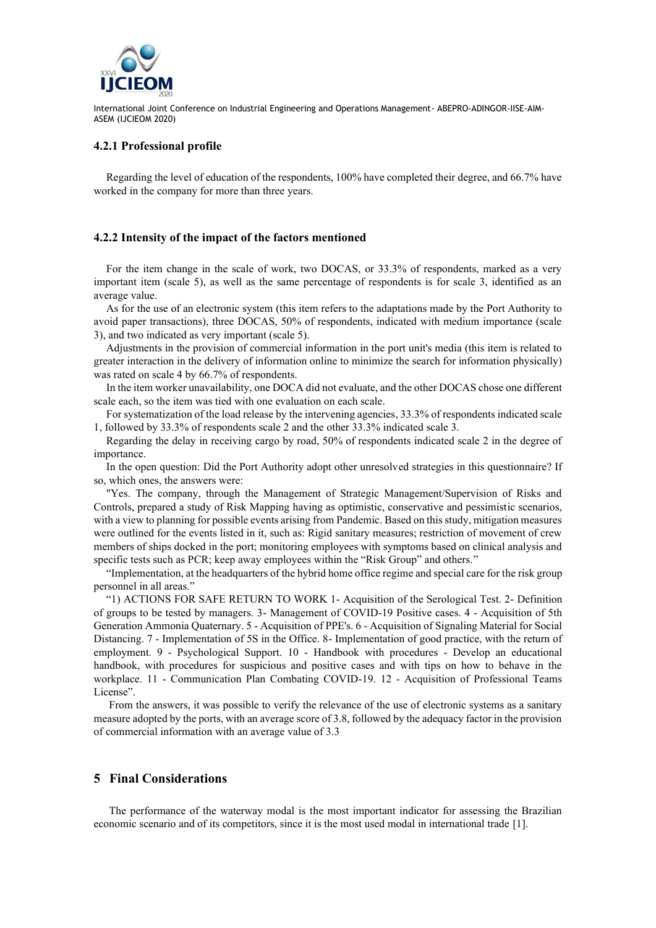

### **4.2.1 Professional profile**

Regarding the level of education of the respondents, 100% have completed their degree, and 66.7% have worked in the company for more than three years.

### **4.2.2 Intensity of the impact of the factors mentioned**

For the item change in the scale of work, two DOCAS, or 33.3% of respondents, marked as a very important item (scale 5), as well as the same percentage of respondents is for scale 3, identified as an average value.

As for the use of an electronic system (this item refers to the adaptations made by the Port Authority to avoid paper transactions), three DOCAS, 50% of respondents, indicated with medium importance (scale 3), and two indicated as very important (scale 5).

Adjustments in the provision of commercial information in the port unit's media (this item is related to greater interaction in the delivery of information online to minimize the search for information physically) was rated on scale 4 by 66.7% of respondents.

In the item worker unavailability, one DOCA did not evaluate, and the other DOCAS chose one different scale each, so the item was tied with one evaluation on each scale.

For systematization of the load release by the intervening agencies, 33.3% of respondents indicated scale 1, followed by 33.3% of respondents scale 2 and the other 33.3% indicated scale 3.

Regarding the delay in receiving cargo by road, 50% of respondents indicated scale 2 in the degree of importance.

In the open question: Did the Port Authority adopt other unresolved strategies in this questionnaire? If so, which ones, the answers were:

"Yes. The company, through the Management of Strategic Management/Supervision of Risks and Controls, prepared a study of Risk Mapping having as optimistic, conservative and pessimistic scenarios, with a view to planning for possible events arising from Pandemic. Based on this study, mitigation measures were outlined for the events listed in it, such as: Rigid sanitary measures; restriction of movement of crew members of ships docked in the port; monitoring employees with symptoms based on clinical analysis and specific tests such as PCR; keep away employees within the "Risk Group" and others."

"Implementation, at the headquarters of the hybrid home office regime and special care for the risk group personnel in all areas."

"1) ACTIONS FOR SAFE RETURN TO WORK 1- Acquisition of the Serological Test. 2- Definition of groups to be tested by managers. 3- Management of COVID-19 Positive cases. 4 - Acquisition of 5th Generation Ammonia Quaternary. 5 - Acquisition of PPE's. 6 - Acquisition of Signaling Material for Social Distancing. 7 - Implementation of 5S in the Office. 8- Implementation of good practice, with the return of employment. 9 - Psychological Support. 10 - Handbook with procedures - Develop an educational handbook, with procedures for suspicious and positive cases and with tips on how to behave in the workplace. 11 - Communication Plan Combating COVID-19. 12 - Acquisition of Professional Teams License".

From the answers, it was possible to verify the relevance of the use of electronic systems as a sanitary measure adopted by the ports, with an average score of 3.8, followed by the adequacy factor in the provision of commercial information with an average value of 3.3

# **5 Final Considerations**

The performance of the waterway modal is the most important indicator for assessing the Brazilian economic scenario and of its competitors, since it is the most used modal in international trade [1].